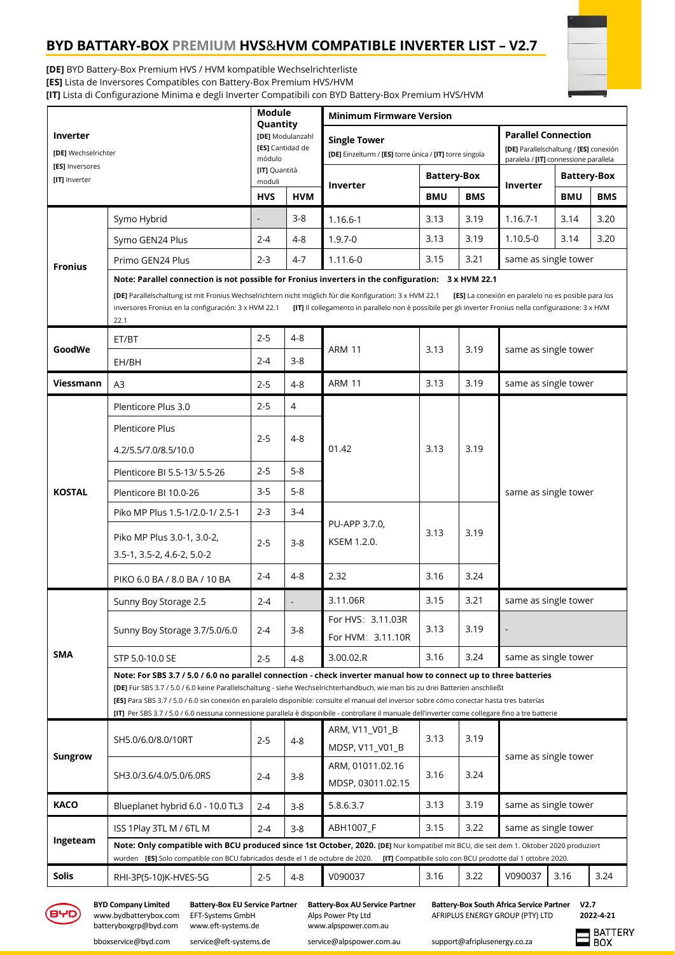# **BYD BATTARY-BOX PREMIUM HVS**&**HVM COMPATIBLE INVERTER LIST – V2.7**



**[DE]** BYD Battery-Box Premium HVS / HVM kompatible Wechselrichterliste

**[ES]** Lista de Inversores Compatibles con Battery-Box Premium HVS/HVM

**[IT]** Lista di Configurazione Minima e degli Inverter Compatibili con BYD Battery-Box Premium HVS/HVM

| <b>Parallel Connection</b><br>[DE] Modulanzahl<br>Inverter<br><b>Single Tower</b><br>[ES] Cantidad de<br>[DE] Wechselrichter<br>[DE] Einzelturm / [ES] torre única / [IT] torre singola<br>módulo<br>[ES] Inversores<br>[IT] Quantità<br><b>Battery-Box</b><br>[IT] Inverter<br>moduli<br>Inverter<br>Inverter<br><b>HVS</b><br><b>HVM</b><br><b>BMU</b><br><b>BMS</b><br><b>BMU</b><br>$3 - 8$<br>Symo Hybrid<br>3.19<br>$1.16.7 - 1$<br>3.14<br>1.16.6-1<br>3.13<br>$\overline{a}$<br>$1.9.7 - 0$<br>3.13<br>3.19<br>$1.10.5 - 0$<br>3.14<br>$2 - 4$<br>$4 - 8$<br>Symo GEN24 Plus<br>3.21<br>$4 - 7$<br>$1.11.6 - 0$<br>3.15<br>same as single tower<br>$2 - 3$<br>Primo GEN24 Plus<br><b>Fronius</b><br>Note: Parallel connection is not possible for Fronius inverters in the configuration: 3 x HVM 22.1<br>[DE] Parallelschaltung ist mit Fronius Wechselrichtern nicht möglich für die Konfiguration: 3 x HVM 22.1<br>[ES] La conexión en paralelo no es posible para los<br>inversores Fronius en la configuración: 3 x HVM 22.1<br>[IT] Il collegamento in parallelo non è possibile per gli inverter Fronius nella configurazione: 3 x HVM<br>22.1<br>$2 - 5$<br>$4 - 8$<br>ET/BT<br>GoodWe<br><b>ARM 11</b><br>3.13<br>3.19<br>same as single tower<br>$2 - 4$<br>3-8<br>EH/BH<br><b>ARM 11</b><br>3.13<br>3.19<br><b>Viessmann</b><br>same as single tower<br>$4 - 8$<br>$2 - 5$<br>A3<br>$2 - 5$<br>4<br>Plenticore Plus 3.0<br><b>Plenticore Plus</b><br>$4 - 8$<br>$2 - 5$<br>01.42<br>3.19<br>3.13<br>4.2/5.5/7.0/8.5/10.0<br>$5 - 8$<br>$2 - 5$<br>Plenticore BI 5.5-13/ 5.5-26<br>$5 - 8$<br>$3-5$<br><b>KOSTAL</b><br>same as single tower<br>Plenticore BI 10.0-26<br>$2 - 3$<br>$3 - 4$<br>Piko MP Plus 1.5-1/2.0-1/2.5-1<br>PU-APP 3.7.0,<br>3.13<br>3.19<br>Piko MP Plus 3.0-1, 3.0-2,<br>KSEM 1.2.0.<br>$2 - 5$<br>$3 - 8$<br>3.5-1, 3.5-2, 4.6-2, 5.0-2<br>$4 - 8$<br>2.32<br>3.24<br>$2 - 4$<br>3.16<br>PIKO 6.0 BA / 8.0 BA / 10 BA<br>3.11.06R<br>3.21<br>3.15<br>same as single tower<br>Sunny Boy Storage 2.5<br>$2 - 4$<br>For HVS: 3.11.03R<br>3.13<br>3.19<br>$3 - 8$<br>Sunny Boy Storage 3.7/5.0/6.0<br>2-4<br>For HVM: 3.11.10R<br><b>SMA</b><br>3.16<br>3.24<br>3.00.02.R<br>same as single tower<br>STP 5.0-10.0 SE<br>$4 - 8$<br>$2 - 5$<br>Note: For SBS 3.7 / 5.0 / 6.0 no parallel connection - check inverter manual how to connect up to three batteries<br>[DE] Für SBS 3.7 / 5.0 / 6.0 keine Parallelschaltung - siehe Wechselrichterhandbuch, wie man bis zu drei Batterien anschließt<br>[ES] Para SBS 3.7 / 5.0 / 6.0 sin conexión en paralelo disponible: consulte el manual del inversor sobre cómo conectar hasta tres baterías<br>[IT] Per SBS 3.7 / 5.0 / 6.0 nessuna connessione parallela è disponibile - controllare il manuale dell'inverter come collegare fino a tre batterie<br>ARM, V11_V01_B<br>3.13<br>3.19<br>SH5.0/6.0/8.0/10RT<br>$2 - 5$<br>$4 - 8$<br>MDSP, V11_V01_B<br><b>Sungrow</b><br>same as single tower<br>ARM, 01011.02.16<br>3.16<br>3.24<br>SH3.0/3.6/4.0/5.0/6.0RS<br>$3 - 8$<br>$2 - 4$<br>MDSP, 03011.02.15 |  |                                                                                                                                             | <b>Module</b><br>Quantity |  | <b>Minimum Firmware Version</b> |  |  |                                                                                 |                    |            |  |  |
|-------------------------------------------------------------------------------------------------------------------------------------------------------------------------------------------------------------------------------------------------------------------------------------------------------------------------------------------------------------------------------------------------------------------------------------------------------------------------------------------------------------------------------------------------------------------------------------------------------------------------------------------------------------------------------------------------------------------------------------------------------------------------------------------------------------------------------------------------------------------------------------------------------------------------------------------------------------------------------------------------------------------------------------------------------------------------------------------------------------------------------------------------------------------------------------------------------------------------------------------------------------------------------------------------------------------------------------------------------------------------------------------------------------------------------------------------------------------------------------------------------------------------------------------------------------------------------------------------------------------------------------------------------------------------------------------------------------------------------------------------------------------------------------------------------------------------------------------------------------------------------------------------------------------------------------------------------------------------------------------------------------------------------------------------------------------------------------------------------------------------------------------------------------------------------------------------------------------------------------------------------------------------------------------------------------------------------------------------------------------------------------------------------------------------------------------------------------------------------------------------------------------------------------------------------------------------------------------------------------------------------------------------------------------------------------------------------------------------------------------------------------------------------------------------------------------------------------------------------------------------------------------------------------------------------------------------------------------------------------------------------------------------------------------------------------------------------------------------|--|---------------------------------------------------------------------------------------------------------------------------------------------|---------------------------|--|---------------------------------|--|--|---------------------------------------------------------------------------------|--------------------|------------|--|--|
|                                                                                                                                                                                                                                                                                                                                                                                                                                                                                                                                                                                                                                                                                                                                                                                                                                                                                                                                                                                                                                                                                                                                                                                                                                                                                                                                                                                                                                                                                                                                                                                                                                                                                                                                                                                                                                                                                                                                                                                                                                                                                                                                                                                                                                                                                                                                                                                                                                                                                                                                                                                                                                                                                                                                                                                                                                                                                                                                                                                                                                                                                                 |  |                                                                                                                                             |                           |  |                                 |  |  | [DE] Parallelschaltung / [ES] conexión<br>paralela / [IT] connessione parallela |                    |            |  |  |
|                                                                                                                                                                                                                                                                                                                                                                                                                                                                                                                                                                                                                                                                                                                                                                                                                                                                                                                                                                                                                                                                                                                                                                                                                                                                                                                                                                                                                                                                                                                                                                                                                                                                                                                                                                                                                                                                                                                                                                                                                                                                                                                                                                                                                                                                                                                                                                                                                                                                                                                                                                                                                                                                                                                                                                                                                                                                                                                                                                                                                                                                                                 |  |                                                                                                                                             |                           |  |                                 |  |  |                                                                                 | <b>Battery-Box</b> |            |  |  |
|                                                                                                                                                                                                                                                                                                                                                                                                                                                                                                                                                                                                                                                                                                                                                                                                                                                                                                                                                                                                                                                                                                                                                                                                                                                                                                                                                                                                                                                                                                                                                                                                                                                                                                                                                                                                                                                                                                                                                                                                                                                                                                                                                                                                                                                                                                                                                                                                                                                                                                                                                                                                                                                                                                                                                                                                                                                                                                                                                                                                                                                                                                 |  |                                                                                                                                             |                           |  |                                 |  |  |                                                                                 |                    | <b>BMS</b> |  |  |
|                                                                                                                                                                                                                                                                                                                                                                                                                                                                                                                                                                                                                                                                                                                                                                                                                                                                                                                                                                                                                                                                                                                                                                                                                                                                                                                                                                                                                                                                                                                                                                                                                                                                                                                                                                                                                                                                                                                                                                                                                                                                                                                                                                                                                                                                                                                                                                                                                                                                                                                                                                                                                                                                                                                                                                                                                                                                                                                                                                                                                                                                                                 |  |                                                                                                                                             |                           |  |                                 |  |  |                                                                                 |                    | 3.20       |  |  |
|                                                                                                                                                                                                                                                                                                                                                                                                                                                                                                                                                                                                                                                                                                                                                                                                                                                                                                                                                                                                                                                                                                                                                                                                                                                                                                                                                                                                                                                                                                                                                                                                                                                                                                                                                                                                                                                                                                                                                                                                                                                                                                                                                                                                                                                                                                                                                                                                                                                                                                                                                                                                                                                                                                                                                                                                                                                                                                                                                                                                                                                                                                 |  |                                                                                                                                             |                           |  |                                 |  |  |                                                                                 |                    | 3.20       |  |  |
|                                                                                                                                                                                                                                                                                                                                                                                                                                                                                                                                                                                                                                                                                                                                                                                                                                                                                                                                                                                                                                                                                                                                                                                                                                                                                                                                                                                                                                                                                                                                                                                                                                                                                                                                                                                                                                                                                                                                                                                                                                                                                                                                                                                                                                                                                                                                                                                                                                                                                                                                                                                                                                                                                                                                                                                                                                                                                                                                                                                                                                                                                                 |  |                                                                                                                                             |                           |  |                                 |  |  |                                                                                 |                    |            |  |  |
|                                                                                                                                                                                                                                                                                                                                                                                                                                                                                                                                                                                                                                                                                                                                                                                                                                                                                                                                                                                                                                                                                                                                                                                                                                                                                                                                                                                                                                                                                                                                                                                                                                                                                                                                                                                                                                                                                                                                                                                                                                                                                                                                                                                                                                                                                                                                                                                                                                                                                                                                                                                                                                                                                                                                                                                                                                                                                                                                                                                                                                                                                                 |  |                                                                                                                                             |                           |  |                                 |  |  |                                                                                 |                    |            |  |  |
|                                                                                                                                                                                                                                                                                                                                                                                                                                                                                                                                                                                                                                                                                                                                                                                                                                                                                                                                                                                                                                                                                                                                                                                                                                                                                                                                                                                                                                                                                                                                                                                                                                                                                                                                                                                                                                                                                                                                                                                                                                                                                                                                                                                                                                                                                                                                                                                                                                                                                                                                                                                                                                                                                                                                                                                                                                                                                                                                                                                                                                                                                                 |  |                                                                                                                                             |                           |  |                                 |  |  |                                                                                 |                    |            |  |  |
|                                                                                                                                                                                                                                                                                                                                                                                                                                                                                                                                                                                                                                                                                                                                                                                                                                                                                                                                                                                                                                                                                                                                                                                                                                                                                                                                                                                                                                                                                                                                                                                                                                                                                                                                                                                                                                                                                                                                                                                                                                                                                                                                                                                                                                                                                                                                                                                                                                                                                                                                                                                                                                                                                                                                                                                                                                                                                                                                                                                                                                                                                                 |  |                                                                                                                                             |                           |  |                                 |  |  |                                                                                 |                    |            |  |  |
|                                                                                                                                                                                                                                                                                                                                                                                                                                                                                                                                                                                                                                                                                                                                                                                                                                                                                                                                                                                                                                                                                                                                                                                                                                                                                                                                                                                                                                                                                                                                                                                                                                                                                                                                                                                                                                                                                                                                                                                                                                                                                                                                                                                                                                                                                                                                                                                                                                                                                                                                                                                                                                                                                                                                                                                                                                                                                                                                                                                                                                                                                                 |  |                                                                                                                                             |                           |  |                                 |  |  |                                                                                 |                    |            |  |  |
|                                                                                                                                                                                                                                                                                                                                                                                                                                                                                                                                                                                                                                                                                                                                                                                                                                                                                                                                                                                                                                                                                                                                                                                                                                                                                                                                                                                                                                                                                                                                                                                                                                                                                                                                                                                                                                                                                                                                                                                                                                                                                                                                                                                                                                                                                                                                                                                                                                                                                                                                                                                                                                                                                                                                                                                                                                                                                                                                                                                                                                                                                                 |  |                                                                                                                                             |                           |  |                                 |  |  |                                                                                 |                    |            |  |  |
|                                                                                                                                                                                                                                                                                                                                                                                                                                                                                                                                                                                                                                                                                                                                                                                                                                                                                                                                                                                                                                                                                                                                                                                                                                                                                                                                                                                                                                                                                                                                                                                                                                                                                                                                                                                                                                                                                                                                                                                                                                                                                                                                                                                                                                                                                                                                                                                                                                                                                                                                                                                                                                                                                                                                                                                                                                                                                                                                                                                                                                                                                                 |  |                                                                                                                                             |                           |  |                                 |  |  |                                                                                 |                    |            |  |  |
|                                                                                                                                                                                                                                                                                                                                                                                                                                                                                                                                                                                                                                                                                                                                                                                                                                                                                                                                                                                                                                                                                                                                                                                                                                                                                                                                                                                                                                                                                                                                                                                                                                                                                                                                                                                                                                                                                                                                                                                                                                                                                                                                                                                                                                                                                                                                                                                                                                                                                                                                                                                                                                                                                                                                                                                                                                                                                                                                                                                                                                                                                                 |  |                                                                                                                                             |                           |  |                                 |  |  |                                                                                 |                    |            |  |  |
|                                                                                                                                                                                                                                                                                                                                                                                                                                                                                                                                                                                                                                                                                                                                                                                                                                                                                                                                                                                                                                                                                                                                                                                                                                                                                                                                                                                                                                                                                                                                                                                                                                                                                                                                                                                                                                                                                                                                                                                                                                                                                                                                                                                                                                                                                                                                                                                                                                                                                                                                                                                                                                                                                                                                                                                                                                                                                                                                                                                                                                                                                                 |  |                                                                                                                                             |                           |  |                                 |  |  |                                                                                 |                    |            |  |  |
|                                                                                                                                                                                                                                                                                                                                                                                                                                                                                                                                                                                                                                                                                                                                                                                                                                                                                                                                                                                                                                                                                                                                                                                                                                                                                                                                                                                                                                                                                                                                                                                                                                                                                                                                                                                                                                                                                                                                                                                                                                                                                                                                                                                                                                                                                                                                                                                                                                                                                                                                                                                                                                                                                                                                                                                                                                                                                                                                                                                                                                                                                                 |  |                                                                                                                                             |                           |  |                                 |  |  |                                                                                 |                    |            |  |  |
|                                                                                                                                                                                                                                                                                                                                                                                                                                                                                                                                                                                                                                                                                                                                                                                                                                                                                                                                                                                                                                                                                                                                                                                                                                                                                                                                                                                                                                                                                                                                                                                                                                                                                                                                                                                                                                                                                                                                                                                                                                                                                                                                                                                                                                                                                                                                                                                                                                                                                                                                                                                                                                                                                                                                                                                                                                                                                                                                                                                                                                                                                                 |  |                                                                                                                                             |                           |  |                                 |  |  |                                                                                 |                    |            |  |  |
|                                                                                                                                                                                                                                                                                                                                                                                                                                                                                                                                                                                                                                                                                                                                                                                                                                                                                                                                                                                                                                                                                                                                                                                                                                                                                                                                                                                                                                                                                                                                                                                                                                                                                                                                                                                                                                                                                                                                                                                                                                                                                                                                                                                                                                                                                                                                                                                                                                                                                                                                                                                                                                                                                                                                                                                                                                                                                                                                                                                                                                                                                                 |  |                                                                                                                                             |                           |  |                                 |  |  |                                                                                 |                    |            |  |  |
|                                                                                                                                                                                                                                                                                                                                                                                                                                                                                                                                                                                                                                                                                                                                                                                                                                                                                                                                                                                                                                                                                                                                                                                                                                                                                                                                                                                                                                                                                                                                                                                                                                                                                                                                                                                                                                                                                                                                                                                                                                                                                                                                                                                                                                                                                                                                                                                                                                                                                                                                                                                                                                                                                                                                                                                                                                                                                                                                                                                                                                                                                                 |  |                                                                                                                                             |                           |  |                                 |  |  |                                                                                 |                    |            |  |  |
|                                                                                                                                                                                                                                                                                                                                                                                                                                                                                                                                                                                                                                                                                                                                                                                                                                                                                                                                                                                                                                                                                                                                                                                                                                                                                                                                                                                                                                                                                                                                                                                                                                                                                                                                                                                                                                                                                                                                                                                                                                                                                                                                                                                                                                                                                                                                                                                                                                                                                                                                                                                                                                                                                                                                                                                                                                                                                                                                                                                                                                                                                                 |  |                                                                                                                                             |                           |  |                                 |  |  |                                                                                 |                    |            |  |  |
|                                                                                                                                                                                                                                                                                                                                                                                                                                                                                                                                                                                                                                                                                                                                                                                                                                                                                                                                                                                                                                                                                                                                                                                                                                                                                                                                                                                                                                                                                                                                                                                                                                                                                                                                                                                                                                                                                                                                                                                                                                                                                                                                                                                                                                                                                                                                                                                                                                                                                                                                                                                                                                                                                                                                                                                                                                                                                                                                                                                                                                                                                                 |  |                                                                                                                                             |                           |  |                                 |  |  |                                                                                 |                    |            |  |  |
|                                                                                                                                                                                                                                                                                                                                                                                                                                                                                                                                                                                                                                                                                                                                                                                                                                                                                                                                                                                                                                                                                                                                                                                                                                                                                                                                                                                                                                                                                                                                                                                                                                                                                                                                                                                                                                                                                                                                                                                                                                                                                                                                                                                                                                                                                                                                                                                                                                                                                                                                                                                                                                                                                                                                                                                                                                                                                                                                                                                                                                                                                                 |  |                                                                                                                                             |                           |  |                                 |  |  |                                                                                 |                    |            |  |  |
|                                                                                                                                                                                                                                                                                                                                                                                                                                                                                                                                                                                                                                                                                                                                                                                                                                                                                                                                                                                                                                                                                                                                                                                                                                                                                                                                                                                                                                                                                                                                                                                                                                                                                                                                                                                                                                                                                                                                                                                                                                                                                                                                                                                                                                                                                                                                                                                                                                                                                                                                                                                                                                                                                                                                                                                                                                                                                                                                                                                                                                                                                                 |  |                                                                                                                                             |                           |  |                                 |  |  |                                                                                 |                    |            |  |  |
|                                                                                                                                                                                                                                                                                                                                                                                                                                                                                                                                                                                                                                                                                                                                                                                                                                                                                                                                                                                                                                                                                                                                                                                                                                                                                                                                                                                                                                                                                                                                                                                                                                                                                                                                                                                                                                                                                                                                                                                                                                                                                                                                                                                                                                                                                                                                                                                                                                                                                                                                                                                                                                                                                                                                                                                                                                                                                                                                                                                                                                                                                                 |  |                                                                                                                                             |                           |  |                                 |  |  |                                                                                 |                    |            |  |  |
|                                                                                                                                                                                                                                                                                                                                                                                                                                                                                                                                                                                                                                                                                                                                                                                                                                                                                                                                                                                                                                                                                                                                                                                                                                                                                                                                                                                                                                                                                                                                                                                                                                                                                                                                                                                                                                                                                                                                                                                                                                                                                                                                                                                                                                                                                                                                                                                                                                                                                                                                                                                                                                                                                                                                                                                                                                                                                                                                                                                                                                                                                                 |  |                                                                                                                                             |                           |  |                                 |  |  |                                                                                 |                    |            |  |  |
| <b>KACO</b><br>3.19<br>5.8.6.3.7<br>3.13<br>same as single tower<br>Blueplanet hybrid 6.0 - 10.0 TL3<br>$3 - 8$<br>$2 - 4$                                                                                                                                                                                                                                                                                                                                                                                                                                                                                                                                                                                                                                                                                                                                                                                                                                                                                                                                                                                                                                                                                                                                                                                                                                                                                                                                                                                                                                                                                                                                                                                                                                                                                                                                                                                                                                                                                                                                                                                                                                                                                                                                                                                                                                                                                                                                                                                                                                                                                                                                                                                                                                                                                                                                                                                                                                                                                                                                                                      |  |                                                                                                                                             |                           |  |                                 |  |  |                                                                                 |                    |            |  |  |
| 3.22<br>same as single tower<br>ABH1007 F<br>3.15<br>ISS 1Play 3TL M / 6TL M<br>$3 - 8$<br>$2 - 4$                                                                                                                                                                                                                                                                                                                                                                                                                                                                                                                                                                                                                                                                                                                                                                                                                                                                                                                                                                                                                                                                                                                                                                                                                                                                                                                                                                                                                                                                                                                                                                                                                                                                                                                                                                                                                                                                                                                                                                                                                                                                                                                                                                                                                                                                                                                                                                                                                                                                                                                                                                                                                                                                                                                                                                                                                                                                                                                                                                                              |  |                                                                                                                                             |                           |  |                                 |  |  |                                                                                 |                    |            |  |  |
| Ingeteam<br>Note: Only compatible with BCU produced since 1st October, 2020. [DE] Nur kompatibel mit BCU, die seit dem 1. Oktober 2020 produziert                                                                                                                                                                                                                                                                                                                                                                                                                                                                                                                                                                                                                                                                                                                                                                                                                                                                                                                                                                                                                                                                                                                                                                                                                                                                                                                                                                                                                                                                                                                                                                                                                                                                                                                                                                                                                                                                                                                                                                                                                                                                                                                                                                                                                                                                                                                                                                                                                                                                                                                                                                                                                                                                                                                                                                                                                                                                                                                                               |  | wurden [ES] Solo compatible con BCU fabricados desde el 1 de octubre de 2020.<br>[IT] Compatibile solo con BCU prodotte dal 1 ottobre 2020. |                           |  |                                 |  |  |                                                                                 |                    |            |  |  |
| Solis<br>V090037<br>3.22<br>V090037<br>3.16<br>3.16<br>$4 - 8$<br>RHI-3P(5-10)K-HVES-5G<br>$2 - 5$                                                                                                                                                                                                                                                                                                                                                                                                                                                                                                                                                                                                                                                                                                                                                                                                                                                                                                                                                                                                                                                                                                                                                                                                                                                                                                                                                                                                                                                                                                                                                                                                                                                                                                                                                                                                                                                                                                                                                                                                                                                                                                                                                                                                                                                                                                                                                                                                                                                                                                                                                                                                                                                                                                                                                                                                                                                                                                                                                                                              |  |                                                                                                                                             |                           |  |                                 |  |  | 3.24                                                                            |                    |            |  |  |



[www.bydbatterybox.com](http://www.bydbatterybox.com/) EFT-Systems GmbH Alps Power Pty Ltd AFRIPLUS ENERGY GROUP (PTY) LTD batteryboxgrp@byd.com www.eft-systems.de www.alpspower.com.au batteryboxgrp@byd.com

**BYD Company Limited Battery-Box EU Service Partner Battery-Box AU Service Partner Battery-Box South Africa Service Partner**

**V2.7 2022-4-21 BATTERY**  $\mathsf{I}$  BOX

[bboxservice@byd.com](mailto:bboxservice@byd.com) service@eft-systems.de [service@alpspower.com.au](mailto:service@alpspower.com.au) support@afriplusenergy.co.za